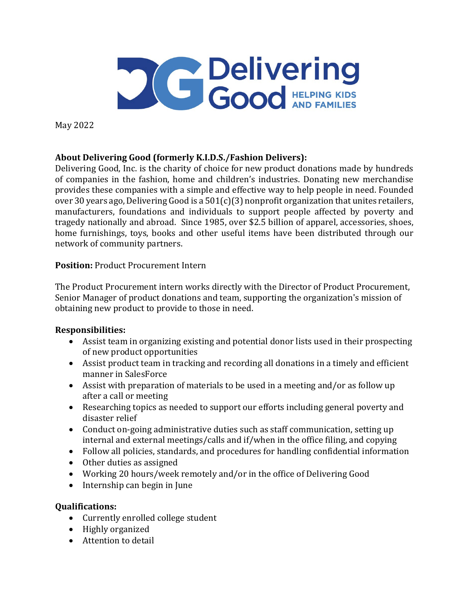

May 2022

# **About Delivering Good (formerly K.I.D.S./Fashion Delivers):**

Delivering Good, Inc. is the charity of choice for new product donations made by hundreds of companies in the fashion, home and children's industries. Donating new merchandise provides these companies with a simple and effective way to help people in need. Founded over 30 years ago, Delivering Good is a 501(c)(3) nonprofit organization that unites retailers, manufacturers, foundations and individuals to support people affected by poverty and tragedy nationally and abroad. Since 1985, over \$2.5 billion of apparel, accessories, shoes, home furnishings, toys, books and other useful items have been distributed through our network of community partners.

# **Position:** Product Procurement Intern

The Product Procurement intern works directly with the Director of Product Procurement, Senior Manager of product donations and team, supporting the organization's mission of obtaining new product to provide to those in need.

# **Responsibilities:**

- Assist team in organizing existing and potential donor lists used in their prospecting of new product opportunities
- Assist product team in tracking and recording all donations in a timely and efficient manner in SalesForce
- Assist with preparation of materials to be used in a meeting and/or as follow up after a call or meeting
- Researching topics as needed to support our efforts including general poverty and disaster relief
- Conduct on-going administrative duties such as staff communication, setting up internal and external meetings/calls and if/when in the office filing, and copying
- Follow all policies, standards, and procedures for handling confidential information
- Other duties as assigned
- Working 20 hours/week remotely and/or in the office of Delivering Good
- Internship can begin in June

# **Qualifications:**

- Currently enrolled college student
- Highly organized
- Attention to detail